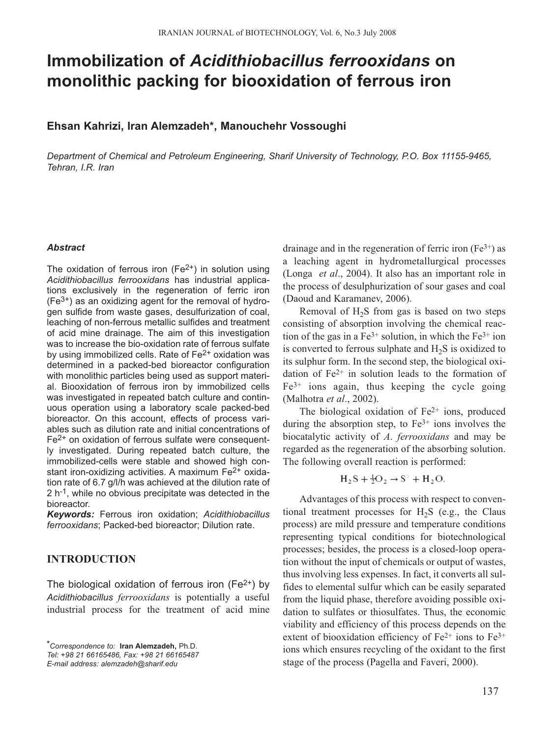# **Immobilization of** *Acidithiobacillus ferrooxidans* **on monolithic packing for biooxidation of ferrous iron**

## **Ehsan Kahrizi, Iran Alemzadeh\*, Manouchehr Vossoughi**

*Department of Chemical and Petroleum Engineering, Sharif University of Technology, P.O. Box 11155-9465, Tehran, I.R. Iran* 

### *Abstract*

The oxidation of ferrous iron  $(Fe<sup>2+</sup>)$  in solution using *Acidithiobacillus ferrooxidans* has industrial applications exclusively in the regeneration of ferric iron  $(Fe<sup>3+</sup>)$  as an oxidizing agent for the removal of hydrogen sulfide from waste gases, desulfurization of coal, leaching of non-ferrous metallic sulfides and treatment of acid mine drainage. The aim of this investigation was to increase the bio-oxidation rate of ferrous sulfate by using immobilized cells. Rate of Fe<sup>2+</sup> oxidation was determined in a packed-bed bioreactor configuration with monolithic particles being used as support material. Biooxidation of ferrous iron by immobilized cells was investigated in repeated batch culture and continuous operation using a laboratory scale packed-bed bioreactor. On this account, effects of process variables such as dilution rate and initial concentrations of Fe<sup>2+</sup> on oxidation of ferrous sulfate were consequently investigated. During repeated batch culture, the immobilized-cells were stable and showed high constant iron-oxidizing activities. A maximum  $Fe<sup>2+</sup>$  oxidation rate of 6.7 g/l/h was achieved at the dilution rate of 2 h-1, while no obvious precipitate was detected in the bioreactor.

*Keywords:* Ferrous iron oxidation; *Acidithiobacillus ferrooxidans*; Packed-bed bioreactor; Dilution rate.

# **INTRODUCTION**

The biological oxidation of ferrous iron ( $Fe<sup>2+</sup>$ ) by *Acidithiobacillus ferrooxidans* is potentially a useful industrial process for the treatment of acid mine

*\*Correspondence to:* **Iran Alemzadeh,** Ph.D. *Tel: +98 21 66165486, Fax: +98 21 66165487 E-mail address: alemzadeh@sharif.edu* 

drainage and in the regeneration of ferric iron  $(Fe^{3+})$  as a leaching agent in hydrometallurgical processes (Longa *et al*., 2004). It also has an important role in the process of desulphurization of sour gases and coal (Daoud and Karamanev, 2006).

Removal of  $H_2S$  from gas is based on two steps consisting of absorption involving the chemical reaction of the gas in a  $Fe^{3+}$  solution, in which the  $Fe^{3+}$  ion is converted to ferrous sulphate and  $H<sub>2</sub>S$  is oxidized to its sulphur form. In the second step, the biological oxidation of  $Fe<sup>2+</sup>$  in solution leads to the formation of  $Fe<sup>3+</sup>$  ions again, thus keeping the cycle going (Malhotra *et al*., 2002).

The biological oxidation of  $Fe<sup>2+</sup>$  ions, produced during the absorption step, to  $Fe<sup>3+</sup>$  ions involves the biocatalytic activity of *A*. *ferrooxidans* and may be regarded as the regeneration of the absorbing solution. The following overall reaction is performed:

$$
H_2S + \frac{1}{2}O_2 \rightarrow S^{\circ} + H_2O.
$$

Advantages of this process with respect to conventional treatment processes for  $H_2S$  (e.g., the Claus process) are mild pressure and temperature conditions representing typical conditions for biotechnological processes; besides, the process is a closed-loop operation without the input of chemicals or output of wastes, thus involving less expenses. In fact, it converts all sulfides to elemental sulfur which can be easily separated from the liquid phase, therefore avoiding possible oxidation to sulfates or thiosulfates. Thus, the economic viability and efficiency of this process depends on the extent of biooxidation efficiency of  $Fe^{2+}$  ions to  $Fe^{3+}$ ions which ensures recycling of the oxidant to the first stage of the process (Pagella and Faveri, 2000).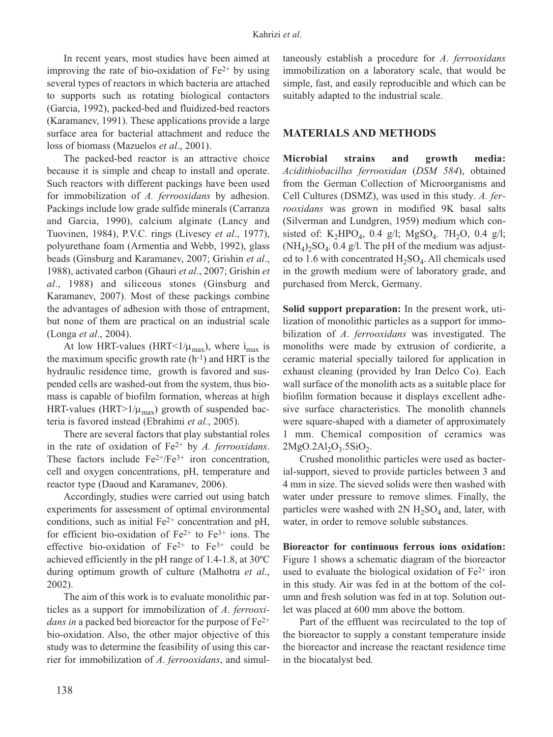In recent years, most studies have been aimed at improving the rate of bio-oxidation of  $Fe<sup>2+</sup>$  by using several types of reactors in which bacteria are attached to supports such as rotating biological contactors (Garcia, 1992), packed-bed and fluidized-bed reactors (Karamanev, 1991). These applications provide a large surface area for bacterial attachment and reduce the loss of biomass (Mazuelos *et al*., 2001).

The packed-bed reactor is an attractive choice because it is simple and cheap to install and operate. Such reactors with different packings have been used for immobilization of *A. ferrooxidans* by adhesion. Packings include low grade sulfide minerals (Carranza and Garcia, 1990), calcium alginate (Lancy and Tuovinen, 1984), P.V.C. rings (Livesey *et al*., 1977), polyurethane foam (Armentia and Webb, 1992), glass beads (Ginsburg and Karamanev, 2007; Grishin *et al*., 1988), activated carbon (Ghauri *et al*., 2007; Grishin *et al*., 1988) and siliceous stones (Ginsburg and Karamanev, 2007). Most of these packings combine the advantages of adhesion with those of entrapment, but none of them are practical on an industrial scale (Longa *et al*., 2004).

At low HRT-values (HRT<1/ $\mu_{\text{max}}$ ), where  $i_{\text{max}}$  is the maximum specific growth rate  $(h^{-1})$  and HRT is the hydraulic residence time, growth is favored and suspended cells are washed-out from the system, thus biomass is capable of biofilm formation, whereas at high HRT-values (HRT>1/ $\mu_{\text{max}}$ ) growth of suspended bacteria is favored instead (Ebrahimi *et al*., 2005).

There are several factors that play substantial roles in the rate of oxidation of Fe2+ by *A. ferrooxidans*. These factors include  $Fe^{2+}/Fe^{3+}$  iron concentration, cell and oxygen concentrations, pH, temperature and reactor type (Daoud and Karamanev, 2006).

Accordingly, studies were carried out using batch experiments for assessment of optimal environmental conditions, such as initial  $Fe<sup>2+</sup>$  concentration and pH, for efficient bio-oxidation of  $Fe^{2+}$  to  $Fe^{3+}$  ions. The effective bio-oxidation of  $Fe^{2+}$  to  $Fe^{3+}$  could be achieved efficiently in the pH range of 1.4-1.8, at 30ºC during optimum growth of culture (Malhotra *et al*., 2002).

The aim of this work is to evaluate monolithic particles as a support for immobilization of *A*. *ferrooxidans in a packed bed bioreactor for the purpose of Fe<sup>2+</sup>* bio-oxidation. Also, the other major objective of this study was to determine the feasibility of using this carrier for immobilization of *A*. *ferrooxidans*, and simultaneously establish a procedure for *A*. *ferrooxidans* immobilization on a laboratory scale, that would be simple, fast, and easily reproducible and which can be suitably adapted to the industrial scale.

## **MATERIALS AND METHODS**

**Microbial strains and growth media:** *Acidithiobacillus ferrooxidan* (*DSM 584*), obtained from the German Collection of Microorganisms and Cell Cultures (DSMZ), was used in this study*. A. ferrooxidans* was grown in modified 9K basal salts (Silverman and Lundgren, 1959) medium which consisted of: K<sub>2</sub>HPO<sub>4</sub>, 0.4 g/l; MgSO<sub>4</sub>. 7H<sub>2</sub>O, 0.4 g/l;  $(NH_4)_2SO_4$ , 0.4 g/l. The pH of the medium was adjusted to 1.6 with concentrated  $H_2SO_4$ . All chemicals used in the growth medium were of laboratory grade, and purchased from Merck, Germany.

**Solid support preparation:** In the present work, utilization of monolithic particles as a support for immobilization of *A*. *ferrooxidans* was investigated. The monoliths were made by extrusion of cordierite, a ceramic material specially tailored for application in exhaust cleaning (provided by Iran Delco Co). Each wall surface of the monolith acts as a suitable place for biofilm formation because it displays excellent adhesive surface characteristics. The monolith channels were square-shaped with a diameter of approximately 1 mm. Chemical composition of ceramics was  $2MgO.2Al<sub>2</sub>O<sub>3</sub>$ .5SiO<sub>2</sub>.

Crushed monolithic particles were used as bacterial-support, sieved to provide particles between 3 and 4 mm in size. The sieved solids were then washed with water under pressure to remove slimes. Finally, the particles were washed with  $2N H_2SO_4$  and, later, with water, in order to remove soluble substances.

**Bioreactor for continuous ferrous ions oxidation:** Figure 1 shows a schematic diagram of the bioreactor used to evaluate the biological oxidation of  $Fe<sup>2+</sup>$  iron in this study. Air was fed in at the bottom of the column and fresh solution was fed in at top. Solution outlet was placed at 600 mm above the bottom.

Part of the effluent was recirculated to the top of the bioreactor to supply a constant temperature inside the bioreactor and increase the reactant residence time in the biocatalyst bed.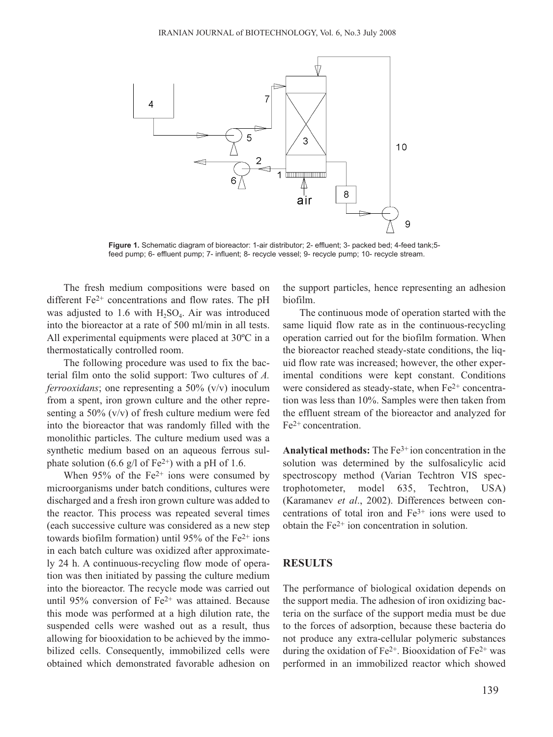

**Figure 1.** Schematic diagram of bioreactor: 1-air distributor; 2- effluent; 3- packed bed; 4-feed tank;5 feed pump; 6- effluent pump; 7- influent; 8- recycle vessel; 9- recycle pump; 10- recycle stream.

The fresh medium compositions were based on different Fe2+ concentrations and flow rates. The pH was adjusted to 1.6 with  $H_2SO_4$ . Air was introduced into the bioreactor at a rate of 500 ml/min in all tests. All experimental equipments were placed at 30ºC in a thermostatically controlled room.

The following procedure was used to fix the bacterial film onto the solid support: Two cultures of *A. ferrooxidans*; one representing a 50% (v/v) inoculum from a spent, iron grown culture and the other representing a 50% (v/v) of fresh culture medium were fed into the bioreactor that was randomly filled with the monolithic particles. The culture medium used was a synthetic medium based on an aqueous ferrous sulphate solution (6.6 g/l of Fe<sup>2+</sup>) with a pH of 1.6.

When  $95\%$  of the Fe<sup>2+</sup> ions were consumed by microorganisms under batch conditions, cultures were discharged and a fresh iron grown culture was added to the reactor. This process was repeated several times (each successive culture was considered as a new step towards biofilm formation) until 95% of the  $Fe<sup>2+</sup>$  ions in each batch culture was oxidized after approximately 24 h. A continuous-recycling flow mode of operation was then initiated by passing the culture medium into the bioreactor. The recycle mode was carried out until 95% conversion of Fe2+ was attained. Because this mode was performed at a high dilution rate, the suspended cells were washed out as a result, thus allowing for biooxidation to be achieved by the immobilized cells. Consequently, immobilized cells were obtained which demonstrated favorable adhesion on the support particles, hence representing an adhesion biofilm.

The continuous mode of operation started with the same liquid flow rate as in the continuous-recycling operation carried out for the biofilm formation. When the bioreactor reached steady-state conditions, the liquid flow rate was increased; however, the other experimental conditions were kept constant. Conditions were considered as steady-state, when Fe<sup>2+</sup> concentration was less than 10%. Samples were then taken from the effluent stream of the bioreactor and analyzed for Fe2+ concentration.

**Analytical methods:** The Fe3+ ion concentration in the solution was determined by the sulfosalicylic acid spectroscopy method (Varian Techtron VIS spectrophotometer, model 635, Techtron, USA) (Karamanev *et al*., 2002). Differences between concentrations of total iron and Fe3+ ions were used to obtain the Fe2+ ion concentration in solution.

### **RESULTS**

The performance of biological oxidation depends on the support media. The adhesion of iron oxidizing bacteria on the surface of the support media must be due to the forces of adsorption, because these bacteria do not produce any extra-cellular polymeric substances during the oxidation of  $Fe^{2+}$ . Biooxidation of  $Fe^{2+}$  was performed in an immobilized reactor which showed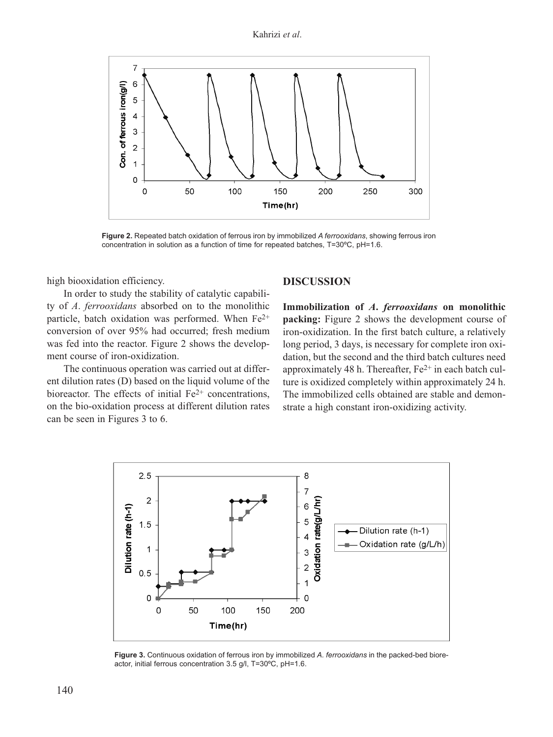

**Figure 2.** Repeated batch oxidation of ferrous iron by immobilized *A ferrooxidans*, showing ferrous iron concentration in solution as a function of time for repeated batches, T=30ºC, pH=1.6.

high biooxidation efficiency.

In order to study the stability of catalytic capability of *A*. *ferrooxidans* absorbed on to the monolithic particle, batch oxidation was performed. When Fe<sup>2+</sup> conversion of over 95% had occurred; fresh medium was fed into the reactor. Figure 2 shows the development course of iron-oxidization.

The continuous operation was carried out at different dilution rates (D) based on the liquid volume of the bioreactor. The effects of initial  $Fe<sup>2+</sup>$  concentrations, on the bio-oxidation process at different dilution rates can be seen in Figures 3 to 6.

## **DISCUSSION**

**Immobilization of** *A***.** *ferrooxidans* **on monolithic packing:** Figure 2 shows the development course of iron-oxidization. In the first batch culture, a relatively long period, 3 days, is necessary for complete iron oxidation, but the second and the third batch cultures need approximately 48 h. Thereafter,  $Fe<sup>2+</sup>$  in each batch culture is oxidized completely within approximately 24 h. The immobilized cells obtained are stable and demonstrate a high constant iron-oxidizing activity.



**Figure 3.** Continuous oxidation of ferrous iron by immobilized *A. ferrooxidans* in the packed-bed bioreactor, initial ferrous concentration 3.5 g/l, T=30ºC, pH=1.6.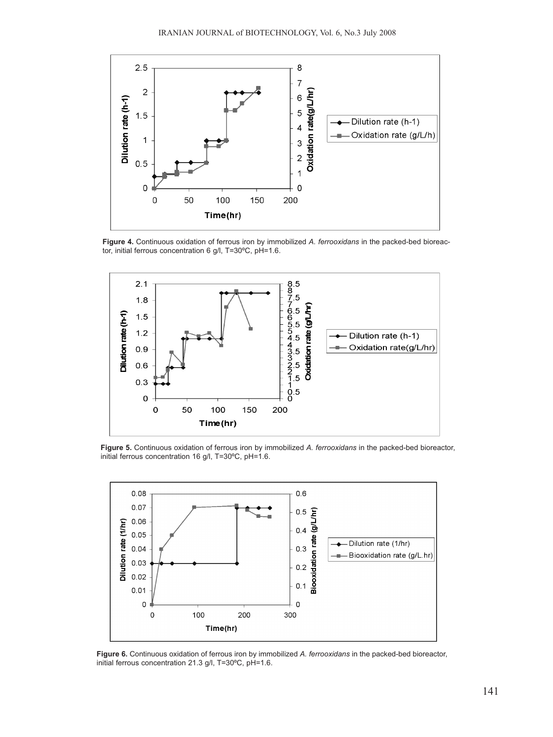

**Figure 4.** Continuous oxidation of ferrous iron by immobilized *A. ferrooxidans* in the packed-bed bioreactor, initial ferrous concentration 6 g/l, T=30ºC, pH=1.6.



**Figure 5.** Continuous oxidation of ferrous iron by immobilized *A. ferrooxidans* in the packed-bed bioreactor, initial ferrous concentration 16 g/l, T=30ºC, pH=1.6.



**Figure 6.** Continuous oxidation of ferrous iron by immobilized *A. ferrooxidans* in the packed-bed bioreactor, initial ferrous concentration 21.3 g/l, T=30ºC, pH=1.6.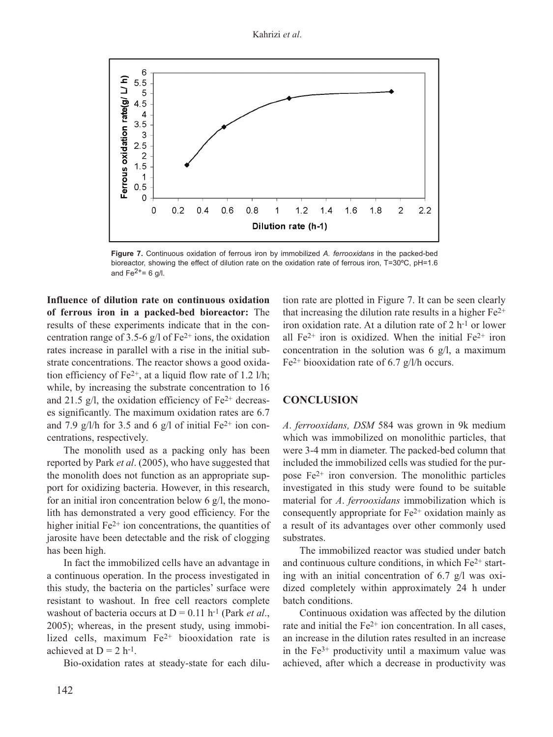Kahrizi *et al*.



**Figure 7.** Continuous oxidation of ferrous iron by immobilized *A. ferrooxidans* in the packed-bed bioreactor, showing the effect of dilution rate on the oxidation rate of ferrous iron, T=30ºC, pH=1.6 and  $Fe<sup>2+</sup>= 6$  g/l.

**Influence of dilution rate on continuous oxidation of ferrous iron in a packed-bed bioreactor:** The results of these experiments indicate that in the concentration range of 3.5-6 g/l of  $Fe^{2+}$  ions, the oxidation rates increase in parallel with a rise in the initial substrate concentrations. The reactor shows a good oxidation efficiency of  $Fe^{2+}$ , at a liquid flow rate of 1.2 l/h; while, by increasing the substrate concentration to 16 and 21.5  $g/l$ , the oxidation efficiency of Fe<sup>2+</sup> decreases significantly. The maximum oxidation rates are 6.7 and 7.9 g/l/h for 3.5 and 6 g/l of initial  $Fe^{2+}$  ion concentrations, respectively.

The monolith used as a packing only has been reported by Park *et al*. (2005), who have suggested that the monolith does not function as an appropriate support for oxidizing bacteria. However, in this research, for an initial iron concentration below 6  $g/l$ , the monolith has demonstrated a very good efficiency. For the higher initial  $Fe<sup>2+</sup>$  ion concentrations, the quantities of jarosite have been detectable and the risk of clogging has been high.

In fact the immobilized cells have an advantage in a continuous operation. In the process investigated in this study, the bacteria on the particles' surface were resistant to washout. In free cell reactors complete washout of bacteria occurs at  $D = 0.11$  h<sup>-1</sup> (Park *et al.*, 2005); whereas, in the present study, using immobilized cells, maximum Fe2+ biooxidation rate is achieved at  $D = 2 h^{-1}$ .

Bio-oxidation rates at steady-state for each dilu-

tion rate are plotted in Figure 7. It can be seen clearly that increasing the dilution rate results in a higher  $Fe<sup>2+</sup>$ iron oxidation rate. At a dilution rate of 2 h-1 or lower all  $Fe^{2+}$  iron is oxidized. When the initial  $Fe^{2+}$  iron concentration in the solution was 6 g/l, a maximum Fe<sup>2+</sup> biooxidation rate of 6.7 g/l/h occurs.

## **CONCLUSION**

*A*. *ferrooxidans, DSM* 584 was grown in 9k medium which was immobilized on monolithic particles, that were 3-4 mm in diameter. The packed-bed column that included the immobilized cells was studied for the purpose  $Fe<sup>2+</sup>$  iron conversion. The monolithic particles investigated in this study were found to be suitable material for *A*. *ferrooxidans* immobilization which is consequently appropriate for  $Fe<sup>2+</sup>$  oxidation mainly as a result of its advantages over other commonly used substrates.

The immobilized reactor was studied under batch and continuous culture conditions, in which  $Fe<sup>2+</sup>$  starting with an initial concentration of 6.7 g/l was oxidized completely within approximately 24 h under batch conditions.

Continuous oxidation was affected by the dilution rate and initial the  $Fe<sup>2+</sup>$  ion concentration. In all cases, an increase in the dilution rates resulted in an increase in the  $Fe<sup>3+</sup>$  productivity until a maximum value was achieved, after which a decrease in productivity was